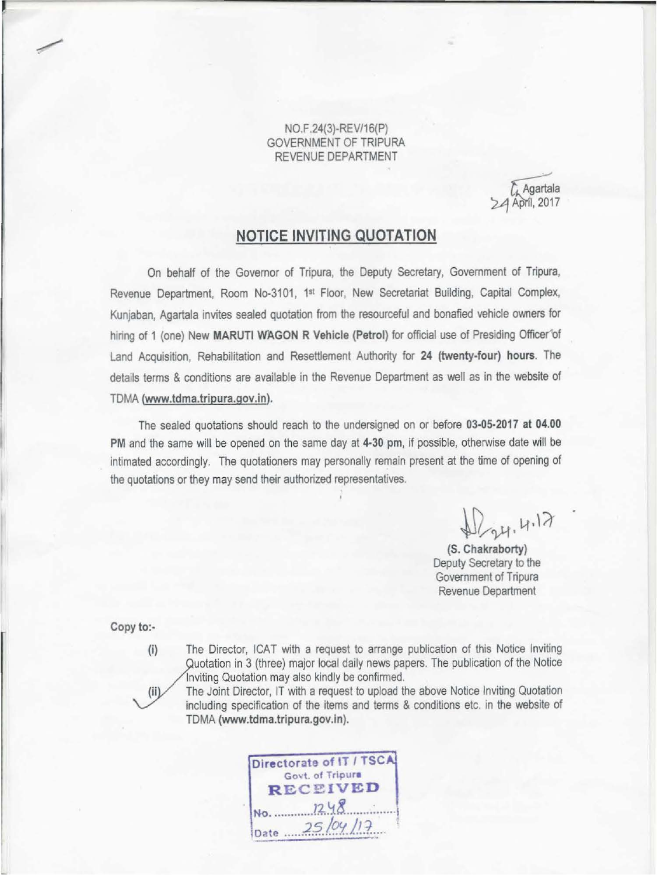NO.F.24(3)-REV/16(P) GOVERNMENT OF TRIPURA REVENUE DEPARTMENT

& Agartala<br>24 April, 2017

## **NOTICE INVITING QUOTATION**

On behalf of the Governor of Tripura, the Deputy Secretary, Government of Tripura, Revenue Department, Room No-3101, 1<sup>st</sup> Floor, New Secretariat Building, Capital Complex, Kunjaban, Agartala invites sealed quotation from the resourceful and bonafied vehicle owners for hiring of 1 (one) New MARUTI WAGON R Vehicle (Petrol) for official use of Presiding Officer'of Land Acquisition, Rehabilitation and Resettlement Authority for 24 (twenty-four) hours. The details terms & conditions are available in the Revenue Department as well as in the website of TDMA (www.tdma.tripura.gov.in).

The sealed quotations should reach to the undersigned on or before 03-05-2017 at 04.00 PM and the same will be opened on the same day at 4·30 pm, if possible, otherwise date will be intimated accordingly. The quotationers may personally remain present at the time of opening of the quotations or they may send their authorized representatives.

 $W_{24}$ , 4.17

(S. Chakraborty) Deputy Secretary to the Government of Tripura Revenue Department

Copy to:-

 $(iii)$ 

(i) The Director, ICAT with a request to arrange publication of this Notice Inviting

TDMA (www.tdma.tripura.gov.ln).

Quotation in 3 (three) major local daily news papers. The publication of the Notice nviting Quotation may also kindly be confirmed. The Joint Director, IT with a request to upload the above Notice Inviting Quotation including specification of the items and terms & conditions etc. in the website of

Directorate of IT / TSCA Govt. of Tripura<br>RECEIVED  $N0.$   $1248$ Date 25/04/17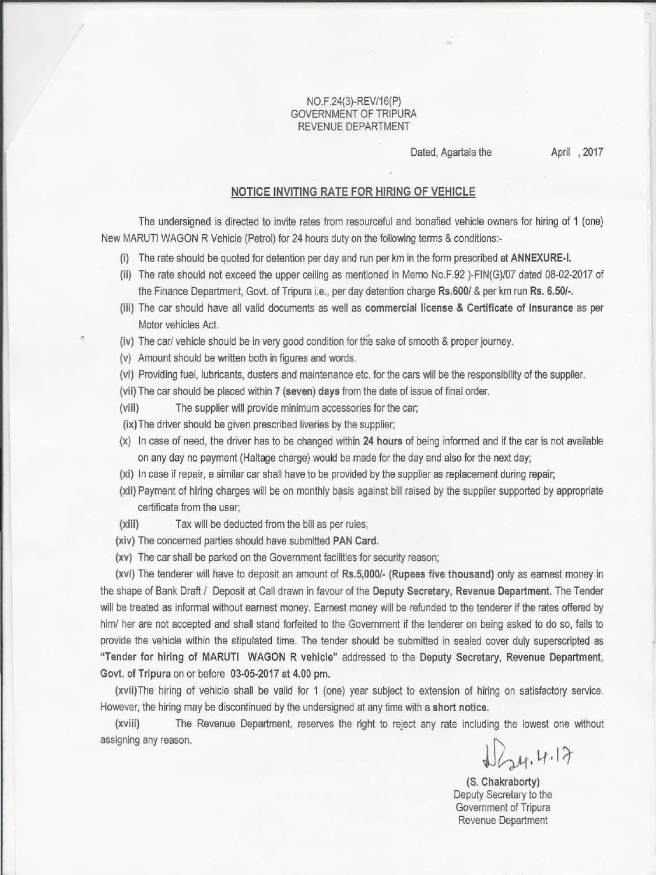## NO.F.24(3)-REV/16(P) GOVERNMENT OF TRIPURA REVENUE DEPARTMENT

Dated, Agartala the April , 2017

## NOTICE INVITING RATE FOR HIRING OF VEHICLE

The undersigned is directed to invite rates from resourceful and bonafied vehicle owners for hiring of 1 (one) New MARUTI WAGON R Vehicle (Petrol) for 24 hours duty on the following terms & conditions:-

- (i) The rate should be quoted for detention per day and run per km in the form prescribed at ANNEXURE-I.
- {li) The rate should not exceed the upper ceiling as mentioned in Memo No.F.92 )-FIN(G)/07 dated 08-02-2017 of the Finance Department, Govt. of Tripura i.e., per day detention charge Rs.600/ & per km run Rs. 6.50/-.
- (iii) The car should have all valid documents as well as commercial license & Certificate of Insurance as per Motor vehicles Act.
- (iv) The car/ vehicle should be in very good condition for the sake of smooth & proper journey.
- (v) Amount should be written both in figures and words.
- (vi) Providing fuel, lubricants, dusters and maintenance etc. for the cars will be the responsibility of the supplier.
- (vii) The car should be placed within 7 (seven) days from the date of issue of final order.
- (viii) The supplier will provide minimum accessories for the car;
- (ix) The driver should be given prescribed liveries by the supplier;
- (x) In case of need, the driver has to be changed within 24 hours of being informed and if the car is not available on any day no payment (Haltage charge) would be made for the day and also for the next day;
- (xi) In case if repair-, a similar car shall have to be provided by the supplier as replacement during repair;
- (xii) Payment of hiring charges will be on monthly basis against bill raised by the supplier supported by appropriate certificate from the user;
- (xiii) Tax will be deducted from the bill as per rules;
- (xiv) The concerned parties should have submitted PAN Card.
- (xv) The car shall be parked *on* the Government facilities for security reason;

(xvi) The tenderer will have to deposit an amount of Rs.5,000/- (Rupees five thousand) only as earnest money in the shape of Bank Draft / Deposit at Call drawn in favour of the Deputy Secretary, Revenue Department. The Tender will be treated as informal without earnest money. Earnest money will be refunded to the tenderer if the rates offered by him/ her are not accepted and shall stand forfeited to the Government if the tenderer on being asked to do so, fails to provide the vehicle within the stipulated time. The tender should be submitted in sealed cover duly superscripted as "Tender for hiring of MARUTI WAGON R vehicle" addressed to the Deputy Secretary, Revenue Department, Govt. of Tripura on or before 03-05-2017 at 4.00 pm.

(xvil)The hiring of vehicle shall be valid for 1 (one) year subject to extension of hiring on satisfactory service. However, the hiring may be discontinued by the undersigned at any time with a short notice.

(xviii) The Revenue Department, reserves the right to reject any rate including the lowest one without assigning any reason.

 $J_{24}$ , 4.17

(S. Chakraborty) Deputy Secretary to the Government of Tripura Revenue Department